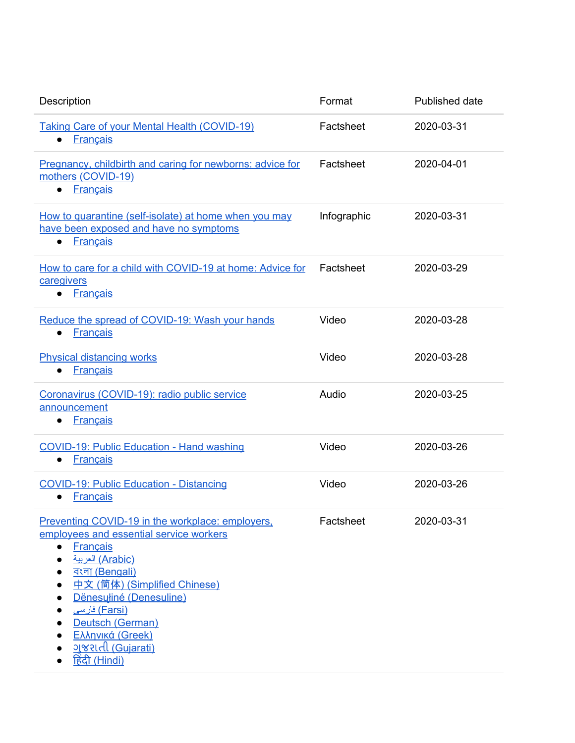| Description                                                                                                                                                                                                                                                                                                                                                    | Format      | Published date |
|----------------------------------------------------------------------------------------------------------------------------------------------------------------------------------------------------------------------------------------------------------------------------------------------------------------------------------------------------------------|-------------|----------------|
| <b>Taking Care of your Mental Health (COVID-19)</b><br><b>Français</b>                                                                                                                                                                                                                                                                                         | Factsheet   | 2020-03-31     |
| Pregnancy, childbirth and caring for newborns: advice for<br>mothers (COVID-19)<br><b>Français</b><br>$\bullet$                                                                                                                                                                                                                                                | Factsheet   | 2020-04-01     |
| How to quarantine (self-isolate) at home when you may<br>have been exposed and have no symptoms<br><b>Français</b>                                                                                                                                                                                                                                             | Infographic | 2020-03-31     |
| How to care for a child with COVID-19 at home: Advice for<br>caregivers<br><b>Français</b><br>$\bullet$                                                                                                                                                                                                                                                        | Factsheet   | 2020-03-29     |
| Reduce the spread of COVID-19: Wash your hands<br><b>Français</b><br>$\bullet$                                                                                                                                                                                                                                                                                 | Video       | 2020-03-28     |
| <b>Physical distancing works</b><br><b>Français</b>                                                                                                                                                                                                                                                                                                            | Video       | 2020-03-28     |
| Coronavirus (COVID-19): radio public service<br>announcement<br><b>Français</b>                                                                                                                                                                                                                                                                                | Audio       | 2020-03-25     |
| <b>COVID-19: Public Education - Hand washing</b><br><b>Français</b><br>$\bullet$                                                                                                                                                                                                                                                                               | Video       | 2020-03-26     |
| <b>COVID-19: Public Education - Distancing</b><br><b>Français</b>                                                                                                                                                                                                                                                                                              | Video       | 2020-03-26     |
| Preventing COVID-19 in the workplace: employers,<br>employees and essential service workers<br><b>Français</b><br>$\bullet$<br>(Arabic) العربية<br>$\bullet$<br><u>বংলা (Bengali)</u><br>中文 (简体) (Simplified Chinese)<br>Dënesuliné (Denesuline)<br>(Farsi) فارسی<br>Deutsch (German)<br>Ελληνικά (Greek)<br><u>ગુજરાતી (Gujarati)</u><br><u>हिंदी (Hindi)</u> | Factsheet   | 2020-03-31     |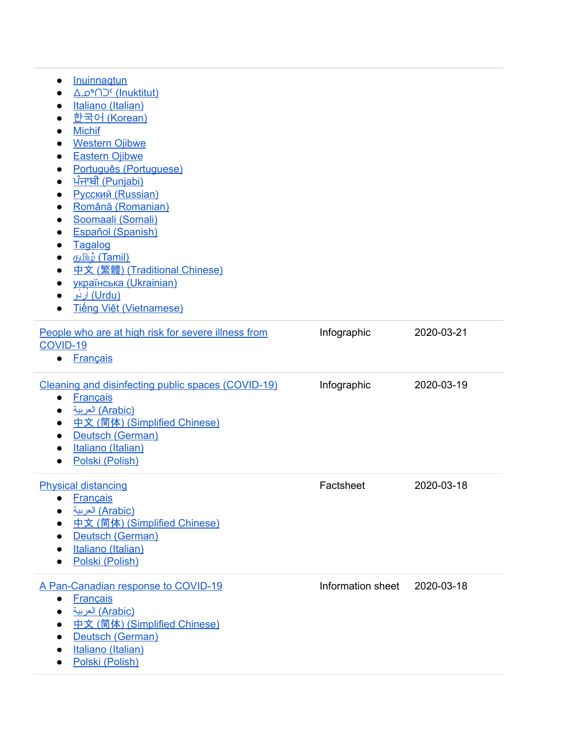| Inuinnagtun<br>$\bullet$<br><u> A obn⊃c</u> (Inuktitut)<br>Italiano (Italian)<br>$\bullet$<br><u> 한국어 (Korean)</u><br><b>Michif</b><br>$\bullet$<br><b>Western Ojibwe</b><br><b>Eastern Ojibwe</b><br>$\bullet$<br>Português (Portuguese)<br><u>ਪੰਜਾਬੀ (Punjabi)</u><br>$\bullet$<br><b>Русский (Russian)</b><br>$\bullet$<br>Română (Romanian)<br>$\bullet$<br>Soomaali (Somali)<br>Español (Spanish)<br>$\bullet$<br>Tagalog<br>$\bullet$<br>த <u>மி</u> ழ் (Tamil)<br>$\bullet$<br>中文 (繁體) (Traditional Chinese)<br>українська (Ukrainian)<br>$\bullet$<br><u>(Urdu) اردُو</u><br><b>Tiếng Việt (Vietnamese)</b> |                   |            |
|---------------------------------------------------------------------------------------------------------------------------------------------------------------------------------------------------------------------------------------------------------------------------------------------------------------------------------------------------------------------------------------------------------------------------------------------------------------------------------------------------------------------------------------------------------------------------------------------------------------------|-------------------|------------|
| People who are at high risk for severe illness from<br>COVID-19<br><b>Français</b><br>$\bullet$                                                                                                                                                                                                                                                                                                                                                                                                                                                                                                                     | Infographic       | 2020-03-21 |
| Cleaning and disinfecting public spaces (COVID-19)<br><b>Français</b><br>$\bullet$<br>(Arabic) العربية<br>中文 (简体) (Simplified Chinese)<br>$\bullet$<br>Deutsch (German)<br>Italiano (Italian)<br>Polski (Polish)<br>$\bullet$                                                                                                                                                                                                                                                                                                                                                                                       | Infographic       | 2020-03-19 |
| <b>Physical distancing</b><br><b>Français</b><br>(Arabic) العربية<br>中文 (简体) (Simplified Chinese)<br>Deutsch (German)<br>Italiano (Italian)<br>Polski (Polish)                                                                                                                                                                                                                                                                                                                                                                                                                                                      | Factsheet         | 2020-03-18 |
| A Pan-Canadian response to COVID-19<br><b>Français</b><br>$\bullet$<br>(Arabic) العربية<br>中文 (简体) (Simplified Chinese)<br>Deutsch (German)<br>Italiano (Italian)<br>Polski (Polish)                                                                                                                                                                                                                                                                                                                                                                                                                                | Information sheet | 2020-03-18 |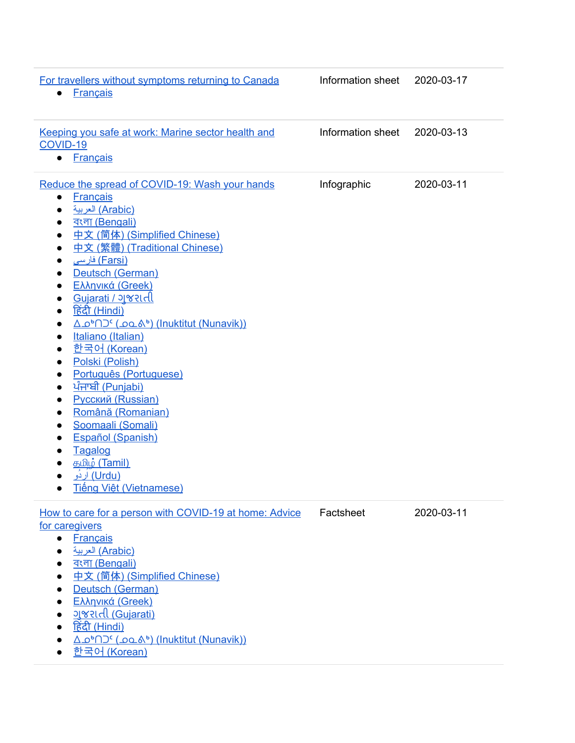| For travellers without symptoms returning to Canada<br><b>Français</b><br>$\bullet$                                                                                                                                                                                                                                                                                                                                                                                                                                                                                                                                                                                                                                                                                                                                                                                                                         | Information sheet | 2020-03-17 |
|-------------------------------------------------------------------------------------------------------------------------------------------------------------------------------------------------------------------------------------------------------------------------------------------------------------------------------------------------------------------------------------------------------------------------------------------------------------------------------------------------------------------------------------------------------------------------------------------------------------------------------------------------------------------------------------------------------------------------------------------------------------------------------------------------------------------------------------------------------------------------------------------------------------|-------------------|------------|
| Keeping you safe at work: Marine sector health and<br>COVID-19<br><b>Français</b><br>$\bullet$                                                                                                                                                                                                                                                                                                                                                                                                                                                                                                                                                                                                                                                                                                                                                                                                              | Information sheet | 2020-03-13 |
| Reduce the spread of COVID-19: Wash your hands<br><b>Français</b><br>$\bullet$<br>(Arabic) العربية<br>$\bullet$<br><u>বংলা (Bengali)</u><br>$\bullet$<br>中文 (简体) (Simplified Chinese)<br>$\bullet$<br>中文 (繁體) (Traditional Chinese)<br>$\bullet$<br>(Farsi) فارسی<br>$\bullet$<br>Deutsch (German)<br>$\bullet$<br>Ελληνικά (Greek)<br>$\bullet$<br><u> Gujarati / ગુજરાતી</u><br>$\bullet$<br><u>हिंदी (Hindi)</u><br>$\bullet$<br><u>Δο<sup>6</sup>ΠΟ<sup>ς</sup> (ρολ<sup>6</sup>) (Inuktitut (Nunavik))</u><br>$\bullet$<br>Italiano (Italian)<br>$\bullet$<br><u> 한국어 (Korean)</u><br>$\bullet$<br>Polski (Polish)<br>$\bullet$<br>Português (Portuguese)<br>$\bullet$<br><u>ਪੰਜਾਬੀ (Punjabi)</u><br>$\bullet$<br>Русский (Russian)<br>Română (Romanian)<br>Soomaali (Somali)<br>Español (Spanish)<br>$\bullet$<br>Tagalog<br>த <u>மி</u> ழ் (Tamil)<br>(Urdu) اردَو<br><b>Tiếng Việt (Vietnamese)</b> | Infographic       | 2020-03-11 |
| How to care for a person with COVID-19 at home: Advice<br>for caregivers<br><b>Français</b><br>$\bullet$<br>(Arabic) العربية<br>$\bullet$<br><u>বংলা (Bengali)</u><br>中文 (简体) (Simplified Chinese)<br>Deutsch (German)<br>Ελληνικά (Greek)<br>$\bullet$<br><u>ગુજરાતી (Gujarati)</u><br><u>हिंदी (Hindi)</u><br><u>Δο<sup>6</sup>ΠΟ<sup>ς</sup> (ρολ<sup>6</sup>) (Inuktitut (Nunavik))</u><br><u> 한국어 (Korean)</u>                                                                                                                                                                                                                                                                                                                                                                                                                                                                                         | Factsheet         | 2020-03-11 |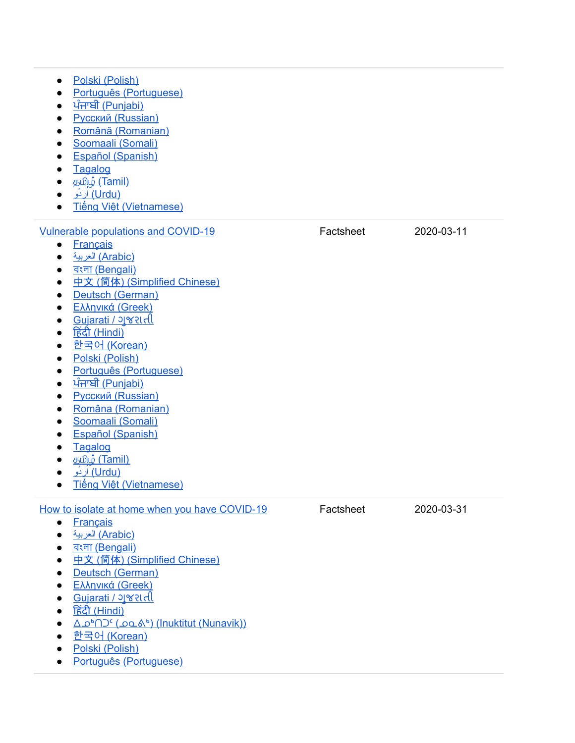● Polski (P[olis](https://www.canada.ca/content/dam/phac-aspc/documents/services/publications/diseases-conditions/coronavirus/care-for-person-covid-19-home-caregivers/care-for-person-covid-19-home-caregivers-pol.pdf)h) • [P](https://www.canada.ca/content/dam/phac-aspc/documents/services/publications/diseases-conditions/coronavirus/care-for-person-covid-19-home-caregivers/care-for-person-covid-19-home-caregivers-por.pdf)ortuguês (Portuguese) ● <u>[ਪੰਜਾਬੀ](https://www.canada.ca/content/dam/phac-aspc/documents/services/publications/diseases-conditions/coronavirus/care-for-person-covid-19-home-caregivers/care-for-person-covid-19-home-caregivers-pan.pdf) (Punjabi)</u> • Русский (Rus[sia](https://www.canada.ca/content/dam/phac-aspc/documents/services/publications/diseases-conditions/coronavirus/care-for-person-covid-19-home-caregivers/care-for-person-covid-19-home-caregivers-rus.pdf)n) • Română (Roma[nia](https://www.canada.ca/content/dam/phac-aspc/documents/services/publications/diseases-conditions/coronavirus/care-for-person-covid-19-home-caregivers/care-for-person-covid-19-home-caregivers-ro.pdf)n) • Soomaali (Som[ali\)](https://www.canada.ca/content/dam/phac-aspc/documents/services/publications/diseases-conditions/coronavirus/care-for-person-covid-19-home-caregivers/care-for-person-covid-19-home-caregivers-som.pdf) • Español (Spa[nis](https://www.canada.ca/content/dam/phac-aspc/documents/services/publications/diseases-conditions/coronavirus/care-for-person-covid-19-home-caregivers/care-for-person-covid-19-home-caregivers-spa.pdf)h) ● Tag[alo](https://www.canada.ca/content/dam/phac-aspc/documents/services/publications/diseases-conditions/coronavirus/care-for-person-covid-19-home-caregivers/care-for-person-covid-19-home-caregivers-tgl.pdf)g • த<u>மிழ் (Ta[mil\)](https://www.canada.ca/content/dam/phac-aspc/documents/services/publications/diseases-conditions/coronavirus/care-for-person-covid-19-home-caregivers/care-for-person-covid-19-home-caregivers-tam.pdf)</u> (Urdu) [اُر](https://www.canada.ca/content/dam/phac-aspc/documents/services/publications/diseases-conditions/coronavirus/care-for-person-covid-19-home-caregivers/care-for-person-covid-19-home-caregivers-urd.pdf)دُو ● • Tiếng [Việ](https://www.canada.ca/content/dam/phac-aspc/documents/services/publications/diseases-conditions/coronavirus/care-for-person-covid-19-home-caregivers/care-for-person-covid-19-home-caregivers-vie.pdf)t (Vietnamese) Vulnerable populations and CO[VID](https://www.canada.ca/en/public-health/services/publications/diseases-conditions/vulnerable-populations-covid-19.html)-19 • Franç[ais](https://www.canada.ca/fr/sante-publique/services/publications/maladies-et-affections/populations-vulnerables-covid-19.html) ● بیة ) [العر](https://www.canada.ca/content/dam/phac-aspc/documents/services/publications/diseases-conditions/coronavirus/covid-19-vulnerable-populations/covid-19-vulnerable-populations-ara.pdf) A r a [bic](https://www.canada.ca/content/dam/phac-aspc/documents/services/publications/diseases-conditions/coronavirus/covid-19-vulnerable-populations/covid-19-vulnerable-populations-ara.pdf) ) ● <u>বংলা (Beng[ali\)](https://www.canada.ca/content/dam/phac-aspc/documents/services/publications/diseases-conditions/coronavirus/covid-19-vulnerable-populations/covid-19-vulnerable-populations-ben.pdf)</u> ● 中文 (简体) (Sim[plifie](https://www.canada.ca/content/dam/phac-aspc/documents/services/publications/diseases-conditions/coronavirus/covid-19-vulnerable-populations/covid-19-vulnerable-populations-sc.pdf)d Chinese) • Deutsch (Ger[m](https://www.canada.ca/content/dam/phac-aspc/documents/services/publications/diseases-conditions/coronavirus/covid-19-vulnerable-populations/covid-19-vulnerable-populations-ger.pdf)an) • Ελλη[νικ](https://www.canada.ca/content/dam/phac-aspc/documents/services/publications/diseases-conditions/coronavirus/covid-19-vulnerable-populations/covid-19-vulnerable-populations-gre.pdf)ά (Greek) • Gujarati / ગુજરા[તી](https://www.canada.ca/content/dam/phac-aspc/documents/services/publications/diseases-conditions/coronavirus/covid-19-vulnerable-populations/covid-19-vulnerable-populations-guj.pdf) • <u>हिंदी ([Hin](https://www.canada.ca/content/dam/phac-aspc/documents/services/publications/diseases-conditions/coronavirus/covid-19-vulnerable-populations/covid-19-vulnerable-populations-hin.pdf)di)</u> ● <u>[한](https://www.canada.ca/content/dam/phac-aspc/documents/services/publications/diseases-conditions/coronavirus/covid-19-vulnerable-populations/covid-19-vulnerable-populations-kor.pdf)국어 (Korean)</u> ● Polski (P[olis](https://www.canada.ca/content/dam/phac-aspc/documents/services/publications/diseases-conditions/coronavirus/covid-19-vulnerable-populations/covid-19-vulnerable-populations-pol.pdf)h) • [P](https://www.canada.ca/content/dam/phac-aspc/documents/services/publications/diseases-conditions/coronavirus/covid-19-vulnerable-populations/covid-19-vulnerable-populations-por.pdf)ortuguês (Portuguese) ● <u>[ਪੰਜਾਬੀ](https://www.canada.ca/content/dam/phac-aspc/documents/services/publications/diseases-conditions/coronavirus/covid-19-vulnerable-populations/covid-19-vulnerable-populations-pan.pdf) (Punjabi)</u> • Русский (Rus[sia](https://www.canada.ca/content/dam/phac-aspc/documents/services/publications/diseases-conditions/coronavirus/covid-19-vulnerable-populations/covid-19-vulnerable-populations-rus.pdf)n) ● Româna (Roma[nia](https://www.canada.ca/content/dam/phac-aspc/documents/services/publications/diseases-conditions/coronavirus/covid-19-vulnerable-populations/covid-19-vulnerable-populations-ro.pdf)n) • Soomaali (Som[ali\)](https://www.canada.ca/content/dam/phac-aspc/documents/services/publications/diseases-conditions/coronavirus/covid-19-vulnerable-populations/covid-19-vulnerable-populations-som.pdf) • Español (Spa[nis](https://www.canada.ca/content/dam/phac-aspc/documents/services/publications/diseases-conditions/coronavirus/covid-19-vulnerable-populations/covid-19-vulnerable-populations-spa.pdf)h) ● Tag[alo](https://www.canada.ca/content/dam/phac-aspc/documents/services/publications/diseases-conditions/coronavirus/covid-19-vulnerable-populations/covid-19-vulnerable-populations-tgl.pdf)g • த<u>மிழ் (Ta[mil\)](https://www.canada.ca/content/dam/phac-aspc/documents/services/publications/diseases-conditions/coronavirus/covid-19-vulnerable-populations/covid-19-vulnerable-populations-tam.pdf)</u> (Urdu) [اُر](https://www.canada.ca/content/dam/phac-aspc/documents/services/publications/diseases-conditions/coronavirus/covid-19-vulnerable-populations/covid-19-vulnerable-populations-urd.pdf)دُو ● • Tiếng [Việ](https://www.canada.ca/content/dam/phac-aspc/documents/services/publications/diseases-conditions/coronavirus/covid-19-vulnerable-populations/covid-19-vulnerable-populations-vie.pdf)t (Vietnamese) Factsheet 2020-03-11 How to isolate at home when you have CO[VID](https://www.canada.ca/en/public-health/services/publications/diseases-conditions/covid-19-how-to-isolate-at-home.html)-19 • Franç[ais](https://www.canada.ca/fr/sante-publique/services/publications/maladies-et-affections/covid-19-comment-isoler-chez-soi.html) ● بیة ) [العر](https://www.canada.ca/content/dam/phac-aspc/documents/services/publications/diseases-conditions/coronavirus/covid-19-how-to-isolate-at-home/covid-19-how-to-isolate-at-home-ara.pdf) A r a [bic](https://www.canada.ca/content/dam/phac-aspc/documents/services/publications/diseases-conditions/coronavirus/covid-19-how-to-isolate-at-home/covid-19-how-to-isolate-at-home-ara.pdf) ) ● <u>বংলা (Beng[ali\)](https://www.canada.ca/content/dam/phac-aspc/documents/services/publications/diseases-conditions/coronavirus/covid-19-how-to-isolate-at-home/covid-19-how-to-isolate-at-home-ben.pdf)</u> ● 中文 (简体) (Sim[plifie](https://www.canada.ca/content/dam/phac-aspc/documents/services/publications/diseases-conditions/coronavirus/covid-19-how-to-isolate-at-home/covid-19-how-to-isolate-at-home-sc.pdf)d Chinese) • Deutsch (Ger[m](https://www.canada.ca/content/dam/phac-aspc/documents/services/publications/diseases-conditions/coronavirus/covid-19-how-to-isolate-at-home/covid-19-how-to-isolate-at-home-ger.pdf)an) • Ελλη[νικ](https://www.canada.ca/content/dam/phac-aspc/documents/services/publications/diseases-conditions/coronavirus/covid-19-how-to-isolate-at-home/covid-19-how-to-isolate-at-home-gre.pdf)ά (Greek) • Gujarati / ગુજરા[તી](https://www.canada.ca/content/dam/phac-aspc/documents/services/publications/diseases-conditions/coronavirus/covid-19-how-to-isolate-at-home/covid-19-how-to-isolate-at-home-guj.pdf) • <u>हिंदी ([Hin](https://www.canada.ca/content/dam/phac-aspc/documents/services/publications/diseases-conditions/coronavirus/covid-19-how-to-isolate-at-home/covid-19-how-to-isolate-at-home-hin.pdf)di)</u> <u>● △○▷∩⊃⊆(○○△▷) (Inuktitut (Nuna[vik](https://www.canada.ca/content/dam/phac-aspc/documents/services/publications/diseases-conditions/coronavirus/covid-19-how-to-isolate-at-home/covid-19-how-to-isolate-at-home-iku.pdf)))</u> ● <u>[한](https://www.canada.ca/content/dam/phac-aspc/documents/services/publications/diseases-conditions/coronavirus/covid-19-how-to-isolate-at-home/covid-19-how-to-isolate-at-home-kor.pdf)국어 (Korean)</u> ● Polski (P[olis](https://www.canada.ca/content/dam/phac-aspc/documents/services/publications/diseases-conditions/coronavirus/covid-19-how-to-isolate-at-home/covid-19-how-to-isolate-at-home-pol.pdf)h) • [P](https://www.canada.ca/content/dam/phac-aspc/documents/services/publications/diseases-conditions/coronavirus/covid-19-how-to-isolate-at-home/covid-19-how-to-isolate-at-home-por.pdf)ortuguês (Portuguese) Factsheet 2 0 2 0 - 0 3 - 3 1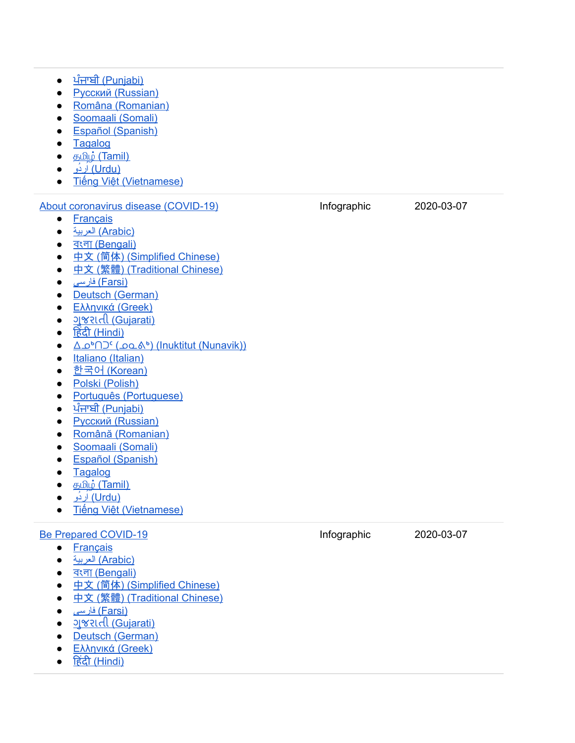- <u>[ਪੰਜਾਬੀ](https://www.canada.ca/content/dam/phac-aspc/documents/services/publications/diseases-conditions/coronavirus/covid-19-how-to-isolate-at-home/covid-19-how-to-isolate-at-home-pan.pdf) (Punjabi)</u> • Русский (Rus[sia](https://www.canada.ca/content/dam/phac-aspc/documents/services/publications/diseases-conditions/coronavirus/covid-19-how-to-isolate-at-home/covid-19-how-to-isolate-at-home-rus.pdf)n) ● Româna (Roma[nia](https://www.canada.ca/content/dam/phac-aspc/documents/services/publications/diseases-conditions/coronavirus/covid-19-how-to-isolate-at-home/covid-19-how-to-isolate-at-home-ro.pdf)n) • Soomaali (Som[ali\)](https://www.canada.ca/content/dam/phac-aspc/documents/services/publications/diseases-conditions/coronavirus/covid-19-how-to-isolate-at-home/covid-19-how-to-isolate-at-home-som.pdf) • Español (Spa[nis](https://www.canada.ca/content/dam/phac-aspc/documents/services/publications/diseases-conditions/coronavirus/covid-19-how-to-isolate-at-home/covid-19-how-to-isolate-at-home-spa.pdf)h) ● Tag[alo](https://www.canada.ca/content/dam/phac-aspc/documents/services/publications/diseases-conditions/coronavirus/covid-19-how-to-isolate-at-home/covid-19-how-to-isolate-at-home-tgl.pdf)g • த<u>மிழ் (Ta[mil\)](https://www.canada.ca/content/dam/phac-aspc/documents/services/publications/diseases-conditions/coronavirus/covid-19-how-to-isolate-at-home/covid-19-how-to-isolate-at-home-tam.pdf)</u> ● <u>(Urdu) [اُر](https://www.canada.ca/content/dam/phac-aspc/documents/services/publications/diseases-conditions/coronavirus/covid-19-how-to-isolate-at-home/covid-19-how-to-isolate-at-home-urd.pdf)دُو </u>  $\bullet$ <u>Tiếng [Việ](https://www.canada.ca/content/dam/phac-aspc/documents/services/publications/diseases-conditions/coronavirus/covid-19-how-to-isolate-at-home/covid-19-how-to-isolate-at-home-vie.pdf)t (Vietnamese)</u> About coronavirus disease (CO[VID](https://www.canada.ca/en/public-health/services/publications/diseases-conditions/about-coronavirus-disease-covid-19.html)-19) • Franç[ais](https://www.canada.ca/fr/sante-publique/services/publications/maladies-et-affections/a-propos-maladie-coronavirus-covid-19.html) ● بیة ) [العر](https://www.canada.ca/content/dam/phac-aspc/documents/services/publications/diseases-conditions/coronavirus/about-coronavirus-disease-covid-19/about-coronavirus-disease-covid-19-ara.pdf) A r a [bic](https://www.canada.ca/content/dam/phac-aspc/documents/services/publications/diseases-conditions/coronavirus/about-coronavirus-disease-covid-19/about-coronavirus-disease-covid-19-ara.pdf) ) ● <u>বংলা (Beng[ali\)](https://www.canada.ca/content/dam/phac-aspc/documents/services/publications/diseases-conditions/coronavirus/about-coronavirus-disease-covid-19/about-coronavirus-disease-covid-19-ben.pdf)</u> ● 中文 (简体) (Sim[plifie](https://www.canada.ca/content/dam/phac-aspc/documents/services/publications/diseases-conditions/coronavirus/about-coronavirus-disease-covid-19/about-coronavirus-disease-covid-19-sc.pdf)d Chinese) ● 中文 (繁體) (Tra[ditio](https://www.canada.ca/content/dam/phac-aspc/documents/services/publications/diseases-conditions/coronavirus/about-coronavirus-disease-covid-19/about-coronavirus-disease-covid-19-tc.pdf)nal Chinese) ● (<u>Farsi)</u> فار[سی](https://www.canada.ca/content/dam/phac-aspc/documents/services/publications/diseases-conditions/coronavirus/about-coronavirus-disease-covid-19/about-coronavirus-disease-covid-19-fas.pdf) • Deutsch (Ger[m](https://www.canada.ca/content/dam/phac-aspc/documents/services/publications/diseases-conditions/coronavirus/about-coronavirus-disease-covid-19/about-coronavirus-disease-covid-19-ger.pdf)an) • Ελλη[νικ](https://www.canada.ca/content/dam/phac-aspc/documents/services/publications/diseases-conditions/coronavirus/about-coronavirus-disease-covid-19/about-coronavirus-disease-covid-19-gre.pdf)ά (Greek) • <u>ગુજરા[તી](https://www.canada.ca/content/dam/phac-aspc/documents/services/publications/diseases-conditions/coronavirus/about-coronavirus-disease-covid-19/about-coronavirus-disease-covid-19-guj.pdf) (Gujarati)</u> • <u>हिंदी ([Hin](https://www.canada.ca/content/dam/phac-aspc/documents/services/publications/diseases-conditions/coronavirus/about-coronavirus-disease-covid-19/about-coronavirus-disease-covid-19-hin.pdf)di)</u> <u>● △○▷∩⊃⊆(○○△▷) (Inuktitut (Nuna[vik](https://www.canada.ca/content/dam/phac-aspc/documents/services/publications/diseases-conditions/coronavirus/about-coronavirus-disease-covid-19/about-coronavirus-disease-covid-19-iku.pdf)))</u> ● It[alia](https://www.canada.ca/content/dam/phac-aspc/documents/services/publications/diseases-conditions/coronavirus/about-coronavirus-disease-covid-19/about-coronavirus-disease-covid-19-ita.pdf)no (Italian) ● <u>[한](https://www.canada.ca/content/dam/phac-aspc/documents/services/publications/diseases-conditions/coronavirus/about-coronavirus-disease-covid-19/about-coronavirus-disease-covid-19-kor.pdf)국어 (Korean)</u> ● Polski (P[olis](https://www.canada.ca/content/dam/phac-aspc/documents/services/publications/diseases-conditions/coronavirus/about-coronavirus-disease-covid-19/about-coronavirus-disease-covid-19-pol.pdf)h) • [P](https://www.canada.ca/content/dam/phac-aspc/documents/services/publications/diseases-conditions/coronavirus/about-coronavirus-disease-covid-19/about-coronavirus-disease-covid-19-por.pdf)ortuguês (Portuguese) ● <u>[ਪੰਜਾਬੀ](https://www.canada.ca/content/dam/phac-aspc/documents/services/publications/diseases-conditions/coronavirus/about-coronavirus-disease-covid-19/about-coronavirus-disease-covid-19-pan.pdf) (Punjabi)</u> • Русский (Rus[sia](https://www.canada.ca/content/dam/phac-aspc/documents/services/publications/diseases-conditions/coronavirus/about-coronavirus-disease-covid-19/about-coronavirus-disease-covid-19-rus.pdf)n) • Română (Roma[nia](https://www.canada.ca/content/dam/phac-aspc/documents/services/publications/diseases-conditions/coronavirus/about-coronavirus-disease-covid-19/about-coronavirus-disease-covid-19-ro.pdf)n) • Soomaali (Som[ali\)](https://www.canada.ca/content/dam/phac-aspc/documents/services/publications/diseases-conditions/coronavirus/about-coronavirus-disease-covid-19/about-coronavirus-disease-covid-19-som.pdf) • Español (Spa[nis](https://www.canada.ca/content/dam/phac-aspc/documents/services/publications/diseases-conditions/coronavirus/about-coronavirus-disease-covid-19/about-coronavirus-disease-covid-19-spa.pdf)h) ● Tag[alo](https://www.canada.ca/content/dam/phac-aspc/documents/services/publications/diseases-conditions/coronavirus/about-coronavirus-disease-covid-19/about-coronavirus-disease-covid-19-tgl.pdf)g • த<u>மிழ் (Ta[mil\)](https://www.canada.ca/content/dam/phac-aspc/documents/services/publications/diseases-conditions/coronavirus/about-coronavirus-disease-covid-19/about-coronavirus-disease-covid-19-tam.pdf)</u> ● <u>(Urdu) [اُر](https://www.canada.ca/content/dam/phac-aspc/documents/services/publications/diseases-conditions/coronavirus/about-coronavirus-disease-covid-19/about-coronavirus-disease-covid-19-urd.pdf)دُو </u> ● <u>Tiếng [Việ](https://www.canada.ca/content/dam/phac-aspc/documents/services/publications/diseases-conditions/coronavirus/about-coronavirus-disease-covid-19/about-coronavirus-disease-covid-19-vie.pdf)t (Vietnamese)</u> )<br>VID-19)<br>Chinese)<br>Chinese)<br>Ittut (Nunavik))<br>) fographic 2 0 2 0 - 0 3 - 0 7 Be Prepared CO[VID](https://www.canada.ca/en/public-health/services/publications/diseases-conditions/covid-19-be-prepared-infographic.html)-19 • Franç[ais](https://www.canada.ca/fr/sante-publique/services/publications/maladies-et-affections/infographie-covid-19-soyez-pret.html) ● بیة ) [العر](https://www.canada.ca/content/dam/phac-aspc/documents/services/publications/diseases-conditions/coronavirus/covid-19-be-prepared-infographic/covid-19-be-prepared-infographic-ara.pdf) A r a [bic](https://www.canada.ca/content/dam/phac-aspc/documents/services/publications/diseases-conditions/coronavirus/covid-19-be-prepared-infographic/covid-19-be-prepared-infographic-ara.pdf) ) ● <u>বংলা (Beng[ali\)](https://www.canada.ca/content/dam/phac-aspc/documents/services/publications/diseases-conditions/coronavirus/covid-19-be-prepared-infographic/covid-19-be-prepared-infographic-ben.pdf)</u> ● 中文 (简体) (Sim[plifie](https://www.canada.ca/content/dam/phac-aspc/documents/services/publications/diseases-conditions/coronavirus/covid-19-be-prepared-infographic/covid-19-be-prepared-infographic-sc.pdf)d Chinese) ● 中文 (繁體) (Tra[ditio](https://www.canada.ca/content/dam/phac-aspc/documents/services/publications/diseases-conditions/coronavirus/covid-19-be-prepared-infographic/covid-19-be-prepared-infographic-tc.pdf)nal Chinese) (Farsi) فار[سی](https://www.canada.ca/content/dam/phac-aspc/documents/services/publications/diseases-conditions/coronavirus/covid-19-be-prepared-infographic/covid-19-be-prepared-infographic-fas.pdf) ● )VID-19<br>| abic)<br>|gali)<br>|体) (Simplified Chinese)<br>|體) (Traditional Chinese)<br>|rsi)<br>|Gujarati)<br>|German)<br>! (Greek) fographic 2 0 2 0 - 0 3 - 0 7
	- <u>ગુજરા[તી](https://www.canada.ca/content/dam/phac-aspc/documents/services/publications/diseases-conditions/coronavirus/covid-19-be-prepared-infographic/covid-19-be-prepared-infographic-guj.pdf) (Gujarati)</u>
	- Deutsch (Ger[m](https://www.canada.ca/content/dam/phac-aspc/documents/services/publications/diseases-conditions/coronavirus/covid-19-be-prepared-infographic/covid-19-be-prepared-infographic-ger.pdf)an)
	- Ελλη[νικ](https://www.canada.ca/content/dam/phac-aspc/documents/services/publications/diseases-conditions/coronavirus/covid-19-be-prepared-infographic/covid-19-be-prepared-infographic-gre.pdf)ά (Greek)
	- <u>हिंदी ([Hin](https://www.canada.ca/content/dam/phac-aspc/documents/services/publications/diseases-conditions/coronavirus/covid-19-be-prepared-infographic/covid-19-be-prepared-infographic-hin.pdf)d</u>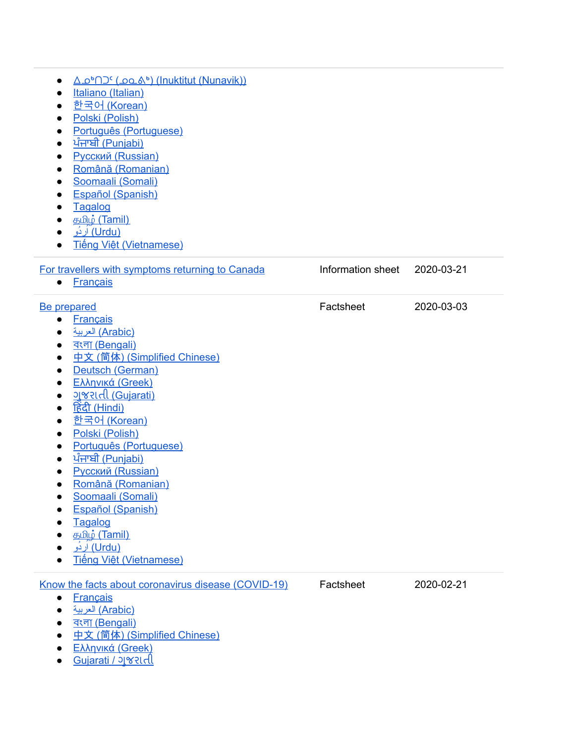| $\bullet$<br>$\bullet$<br>$\bullet$                                                     | <u>Δο<sup>6</sup>ΠΟ<sup>ς</sup> (ρολ<sup>6</sup>) (Inuktitut (Nunavik))</u><br>Italiano (Italian)<br><u> 한국어 (Korean)</u><br>Polski (Polish)<br>Português (Portuguese)<br><u>ਪੰਜਾਬੀ (Punjabi)</u><br><b>Русский (Russian)</b><br>Română (Romanian)<br>Soomaali (Somali)<br><b>Español (Spanish)</b><br>Tagalog<br>த <u>மி</u> ழ் (Tamil)<br><u>(Urdu) اردُو</u><br>Tiếng Việt (Vietnamese)                                                                                                       |                   |            |  |
|-----------------------------------------------------------------------------------------|--------------------------------------------------------------------------------------------------------------------------------------------------------------------------------------------------------------------------------------------------------------------------------------------------------------------------------------------------------------------------------------------------------------------------------------------------------------------------------------------------|-------------------|------------|--|
| $\bullet$                                                                               | For travellers with symptoms returning to Canada<br><b>Français</b>                                                                                                                                                                                                                                                                                                                                                                                                                              | Information sheet | 2020-03-21 |  |
| $\bullet$<br>$\bullet$<br>$\bullet$<br>$\bullet$<br>$\bullet$<br>$\bullet$<br>$\bullet$ | <b>Be prepared</b><br><b>Français</b><br>(Arabic) العربية<br><u>বংলা (Bengali)</u><br>中文 (简体) (Simplified Chinese)<br>Deutsch (German)<br>Ελληνικά (Greek)<br><u>ગજરાતી (Gujarati)</u><br><u>हिंदी (Hindi)</u><br><u> 한국어 (Korean)</u><br>Polski (Polish)<br>Português (Portuguese)<br><u>ਪੰਜਾਬੀ (Punjabi)</u><br><b>Русский (Russian)</b><br>Română (Romanian)<br>Soomaali (Somali)<br>Español (Spanish)<br>Tagalog<br>த <u>மி</u> ழ் (Tamil)<br><u>(Urdu) اردُو</u><br>Tiếng Việt (Vietnamese) | Factsheet         | 2020-03-03 |  |
| $\bullet$<br>$\bullet$                                                                  | Know the facts about coronavirus disease (COVID-19)<br><b>Français</b><br>(Arabic) العربية<br><u>বংলা (Bengali)</u><br>中文 (简体) (Simplified Chinese)<br>Ελληνικά (Greek)                                                                                                                                                                                                                                                                                                                          | Factsheet         | 2020-02-21 |  |

● [Gujarati](https://www.canada.ca/content/dam/phac-aspc/documents/services/publications/diseases-conditions/coronavirus/covid-19-know-the-facts/covid-19-know-the-facts-guj.pdf) / જુ રાતી

÷